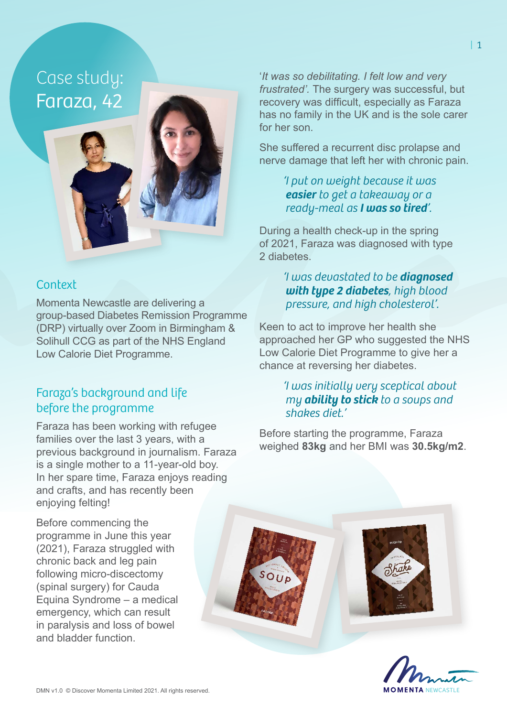# Case study: Faraza, 42

## **Context**

Momenta Newcastle are delivering a group-based Diabetes Remission Programme (DRP) virtually over Zoom in Birmingham & Solihull CCG as part of the NHS England Low Calorie Diet Programme.

## Faraza's background and life before the programme

Faraza has been working with refugee families over the last 3 years, with a previous background in journalism. Faraza is a single mother to a 11-year-old boy. In her spare time, Faraza enjoys reading and crafts, and has recently been enjoying felting!

Before commencing the programme in June this year (2021), Faraza struggled with chronic back and leg pain following micro-discectomy (spinal surgery) for Cauda Equina Syndrome – a medical emergency, which can result in paralysis and loss of bowel and bladder function.

'*It was so debilitating. I felt low and very frustrated'.* The surgery was successful, but recovery was difficult, especially as Faraza has no family in the UK and is the sole carer for her son.

She suffered a recurrent disc prolapse and nerve damage that left her with chronic pain.

#### *'I put on weight because it was easier to get a takeaway or a ready-meal as I was so tired'.*

During a health check-up in the spring of 2021, Faraza was diagnosed with type 2 diabetes.

#### *'I was devastated to be diagnosed with type 2 diabetes, high blood pressure, and high cholesterol'.*

Keen to act to improve her health she approached her GP who suggested the NHS Low Calorie Diet Programme to give her a chance at reversing her diabetes.

#### *'I was initially very sceptical about my ability to stick to a soups and shakes diet.'*

Before starting the programme, Faraza weighed **83kg** and her BMI was **30.5kg/m2**.



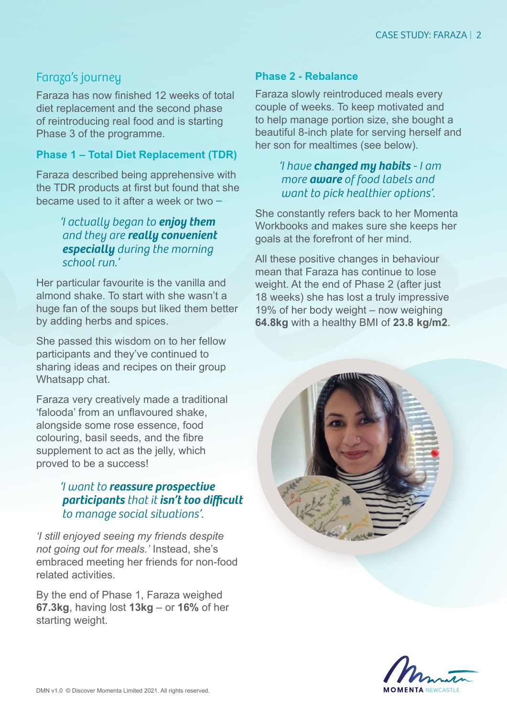# Faraza's journey

Faraza has now finished 12 weeks of total diet replacement and the second phase of reintroducing real food and is starting Phase 3 of the programme.

#### **Phase 1 – Total Diet Replacement (TDR)**

Faraza described being apprehensive with the TDR products at first but found that she became used to it after a week or two *–* 

## *'I actually began to enjoy them and they are really convenient especially during the morning school run.'*

Her particular favourite is the vanilla and almond shake. To start with she wasn't a huge fan of the soups but liked them better by adding herbs and spices.

She passed this wisdom on to her fellow participants and they've continued to sharing ideas and recipes on their group Whatsapp chat.

Faraza very creatively made a traditional 'falooda' from an unflavoured shake, alongside some rose essence, food colouring, basil seeds, and the fibre supplement to act as the jelly, which proved to be a success!

## *'I want to reassure prospective participants that it isn't too difficult to manage social situations'.*

*'I still enjoyed seeing my friends despite not going out for meals.'* Instead, she's embraced meeting her friends for non-food related activities.

By the end of Phase 1, Faraza weighed **67.3kg**, having lost **13kg** – or **16%** of her starting weight.

#### **Phase 2 - Rebalance**

Faraza slowly reintroduced meals every couple of weeks. To keep motivated and to help manage portion size, she bought a beautiful 8-inch plate for serving herself and her son for mealtimes (see below).

#### *'I have changed my habits - I am more aware of food labels and want to pick healthier options'.*

She constantly refers back to her Momenta Workbooks and makes sure she keeps her goals at the forefront of her mind.

All these positive changes in behaviour mean that Faraza has continue to lose weight. At the end of Phase 2 (after just 18 weeks) she has lost a truly impressive 19% of her body weight – now weighing **64.8kg** with a healthy BMI of **23.8 kg/m2**.